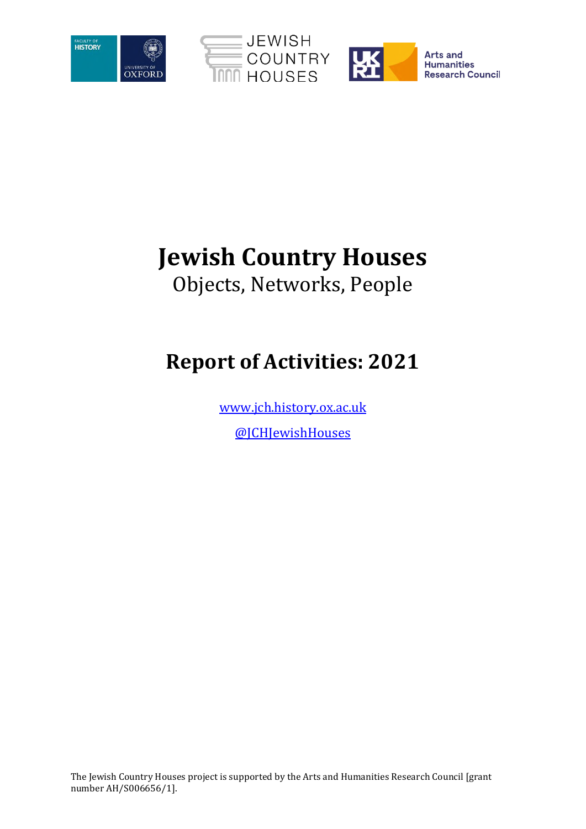





# **Jewish Country Houses**  Objects, Networks, People

# **Report of Activities: 2021**

[www.jch.history.ox.ac.uk](http://www.jch.history.ox.ac.uk/) 

[@JCHJewishHouses](https://twitter.com/JCHJewishHouses?ref_src=twsrc%5Etfw%7Ctwcamp%5Eembeddedtimeline%7Ctwterm%5Eprofile%3AJCHJewishHouses&ref_url=https%3A%2F%2Fjch.history.ox.ac.uk%2Fhome)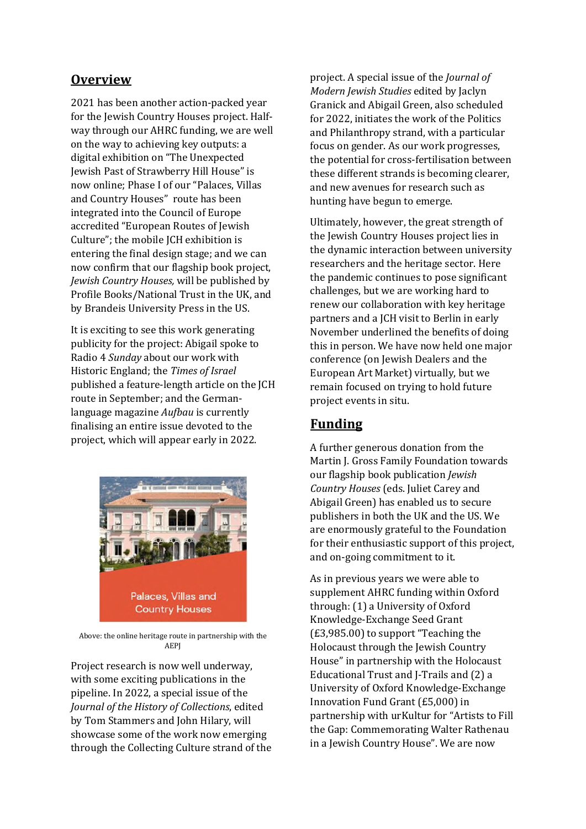## **Overview**

2021 has been another action-packed year for the Jewish Country Houses project. Halfway through our AHRC funding, we are well on the way to achieving key outputs: a digital exhibition on "The Unexpected Jewish Past of Strawberry Hill House" is now online; Phase I of our "Palaces, Villas and Country Houses" route has been integrated into the Council of Europe accredited "European Routes of Jewish Culture"; the mobile JCH exhibition is entering the final design stage; and we can now confirm that our flagship book project, *Jewish Country Houses,* will be published by Profile Books/National Trust in the UK, and by Brandeis University Press in the US.

It is exciting to see this work generating publicity for the project: Abigail spoke to Radio 4 *Sunday* about our work with Historic England; the *Times of Israel* published a feature-length article on the JCH route in September; and the Germanlanguage magazine *Aufbau* is currently finalising an entire issue devoted to the project, which will appear early in 2022.



Above: the online heritage route in partnership with the AEPJ

Project research is now well underway, with some exciting publications in the pipeline. In 2022, a special issue of the *Journal of the History of Collections*, edited by Tom Stammers and John Hilary, will showcase some of the work now emerging through the Collecting Culture strand of the

project. A special issue of the *Journal of Modern Jewish Studies* edited by Jaclyn Granick and Abigail Green, also scheduled for 2022, initiates the work of the Politics and Philanthropy strand, with a particular focus on gender. As our work progresses, the potential for cross-fertilisation between these different strands is becoming clearer, and new avenues for research such as hunting have begun to emerge.

Ultimately, however, the great strength of the Jewish Country Houses project lies in the dynamic interaction between university researchers and the heritage sector. Here the pandemic continues to pose significant challenges, but we are working hard to renew our collaboration with key heritage partners and a JCH visit to Berlin in early November underlined the benefits of doing this in person. We have now held one major conference (on Jewish Dealers and the European Art Market) virtually, but we remain focused on trying to hold future project events in situ.

## **Funding**

A further generous donation from the Martin J. Gross Family Foundation towards our flagship book publication *Jewish Country Houses* (eds. Juliet Carey and Abigail Green) has enabled us to secure publishers in both the UK and the US. We are enormously grateful to the Foundation for their enthusiastic support of this project, and on-going commitment to it.

As in previous years we were able to supplement AHRC funding within Oxford through: (1) a University of Oxford Knowledge-Exchange Seed Grant (£3,985.00) to support "Teaching the Holocaust through the Jewish Country House" in partnership with the Holocaust Educational Trust and J-Trails and (2) a University of Oxford Knowledge-Exchange Innovation Fund Grant (£5,000) in partnership with urKultur for "Artists to Fill the Gap: Commemorating Walter Rathenau in a Jewish Country House". We are now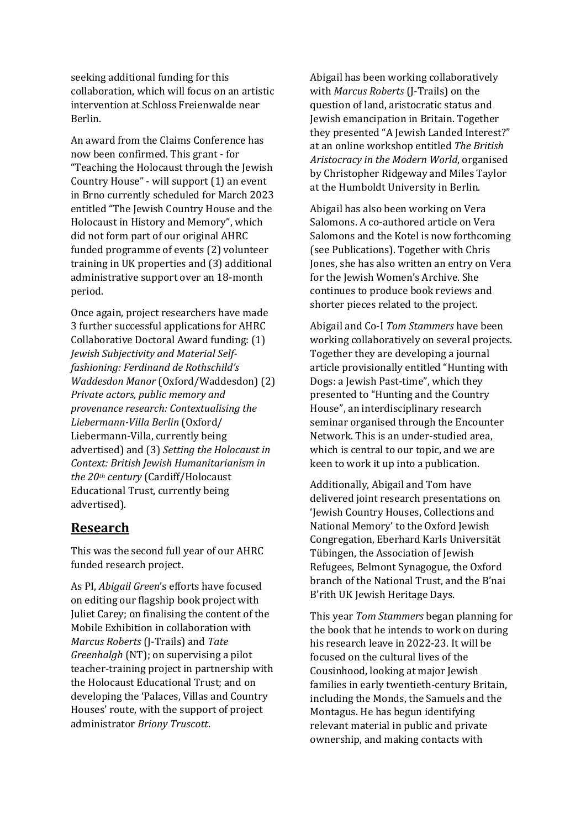seeking additional funding for this collaboration, which will focus on an artistic intervention at Schloss Freienwalde near Berlin.

An award from the Claims Conference has now been confirmed. This grant - for "Teaching the Holocaust through the Jewish Country House" - will support (1) an event in Brno currently scheduled for March 2023 entitled "The Jewish Country House and the Holocaust in History and Memory", which did not form part of our original AHRC funded programme of events (2) volunteer training in UK properties and (3) additional administrative support over an 18-month period.

Once again, project researchers have made 3 further successful applications for AHRC Collaborative Doctoral Award funding: (1) *Jewish Subjectivity and Material Selffashioning: Ferdinand de Rothschild's Waddesdon Manor* (Oxford/Waddesdon) (2) *Private actors, public memory and provenance research: Contextualising the Liebermann-Villa Berlin* (Oxford/ Liebermann-Villa, currently being advertised) and (3) *Setting the Holocaust in Context: British Jewish Humanitarianism in the 20th century* (Cardiff/Holocaust Educational Trust, currently being advertised).

## **Research**

This was the second full year of our AHRC funded research project.

As PI, *Abigail Green*'s efforts have focused on editing our flagship book project with Juliet Carey; on finalising the content of the Mobile Exhibition in collaboration with *Marcus Roberts* (J-Trails) and *Tate Greenhalgh* (NT); on supervising a pilot teacher-training project in partnership with the Holocaust Educational Trust; and on developing the 'Palaces, Villas and Country Houses' route, with the support of project administrator *Briony Truscott*.

Abigail has been working collaboratively with *Marcus Roberts* (J-Trails) on the question of land, aristocratic status and Jewish emancipation in Britain. Together they presented "A Jewish Landed Interest?" at an online workshop entitled *The British Aristocracy in the Modern World*, organised by Christopher Ridgeway and Miles Taylor at the Humboldt University in Berlin.

Abigail has also been working on Vera Salomons. A co-authored article on Vera Salomons and the Kotel is now forthcoming (see Publications). Together with Chris Jones, she has also written an entry on Vera for the Jewish Women's Archive. She continues to produce book reviews and shorter pieces related to the project.

Abigail and Co-I *Tom Stammers* have been working collaboratively on several projects. Together they are developing a journal article provisionally entitled "Hunting with Dogs: a Jewish Past-time", which they presented to "Hunting and the Country House", an interdisciplinary research seminar organised through the Encounter Network. This is an under-studied area, which is central to our topic, and we are keen to work it up into a publication.

Additionally, Abigail and Tom have delivered joint research presentations on 'Jewish Country Houses, Collections and National Memory' to the Oxford Jewish Congregation, Eberhard Karls Universität Tübingen, the Association of Jewish Refugees, Belmont Synagogue, the Oxford branch of the National Trust, and the B'nai B'rith UK Jewish Heritage Days.

This year *Tom Stammers* began planning for the book that he intends to work on during his research leave in 2022-23. It will be focused on the cultural lives of the Cousinhood, looking at major Jewish families in early twentieth-century Britain, including the Monds, the Samuels and the Montagus. He has begun identifying relevant material in public and private ownership, and making contacts with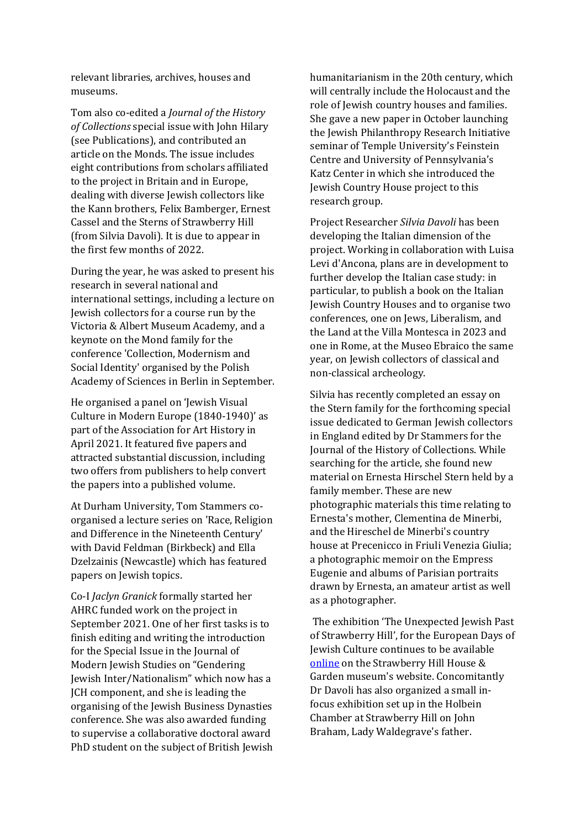relevant libraries, archives, houses and museums.

Tom also co-edited a *Journal of the History of Collections* special issue with John Hilary (see Publications), and contributed an article on the Monds. The issue includes eight contributions from scholars affiliated to the project in Britain and in Europe, dealing with diverse Jewish collectors like the Kann brothers, Felix Bamberger, Ernest Cassel and the Sterns of Strawberry Hill (from Silvia Davoli). It is due to appear in the first few months of 2022.

During the year, he was asked to present his research in several national and international settings, including a lecture on Jewish collectors for a course run by the Victoria & Albert Museum Academy, and a keynote on the Mond family for the conference 'Collection, Modernism and Social Identity' organised by the Polish Academy of Sciences in Berlin in September.

He organised a panel on 'Jewish Visual Culture in Modern Europe (1840-1940)' as part of the Association for Art History in April 2021. It featured five papers and attracted substantial discussion, including two offers from publishers to help convert the papers into a published volume.

At Durham University, Tom Stammers coorganised a lecture series on 'Race, Religion and Difference in the Nineteenth Century' with David Feldman (Birkbeck) and Ella Dzelzainis (Newcastle) which has featured papers on Jewish topics.

Co-I *Jaclyn Granick* formally started her AHRC funded work on the project in September 2021. One of her first tasks is to finish editing and writing the introduction for the Special Issue in the Journal of Modern Jewish Studies on "Gendering Jewish Inter/Nationalism" which now has a JCH component, and she is leading the organising of the Jewish Business Dynasties conference. She was also awarded funding to supervise a collaborative doctoral award PhD student on the subject of British Jewish humanitarianism in the 20th century, which will centrally include the Holocaust and the role of Jewish country houses and families. She gave a new paper in October launching the Jewish Philanthropy Research Initiative seminar of Temple University's Feinstein Centre and University of Pennsylvania's Katz Center in which she introduced the Jewish Country House project to this research group.

Project Researcher *Silvia Davoli* has been developing the Italian dimension of the project. Working in collaboration with Luisa Levi d'Ancona, plans are in development to further develop the Italian case study: in particular, to publish a book on the Italian Jewish Country Houses and to organise two conferences, one on Jews, Liberalism, and the Land at the Villa Montesca in 2023 and one in Rome, at the Museo Ebraico the same year, on Jewish collectors of classical and non-classical archeology.

Silvia has recently completed an essay on the Stern family for the forthcoming special issue dedicated to German Jewish collectors in England edited by Dr Stammers for the Journal of the History of Collections. While searching for the article, she found new material on Ernesta Hirschel Stern held by a family member. These are new photographic materials this time relating to Ernesta's mother, Clementina de Minerbi, and the Hireschel de Minerbi's country house at Precenicco in Friuli Venezia Giulia; a photographic memoir on the Empress Eugenie and albums of Parisian portraits drawn by Ernesta, an amateur artist as well as a photographer.

 The exhibition 'The Unexpected Jewish Past of Strawberry Hill', for the European Days of Jewish Culture continues to be available [online](https://www.strawberryhillhouse.org.uk/the-unexpected-jewish-past-of-strawberry-hill-house/) on the Strawberry Hill House & Garden museum's website. Concomitantly Dr Davoli has also organized a small infocus exhibition set up in the Holbein Chamber at Strawberry Hill on John Braham, Lady Waldegrave's father.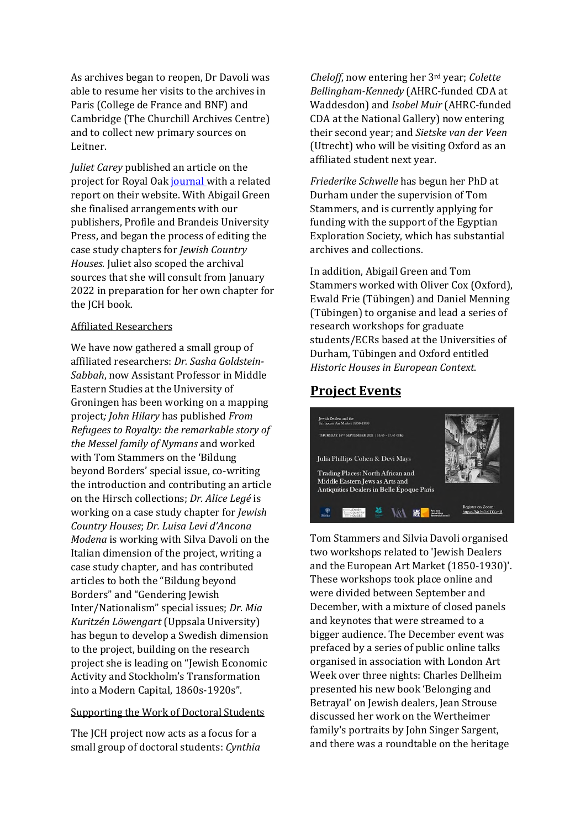As archives began to reopen, Dr Davoli was able to resume her visits to the archives in Paris (College de France and BNF) and Cambridge (The Churchill Archives Centre) and to collect new primary sources on Leitner.

*Juliet Carey* published an article on the project for Royal Oa[k journal](https://www.royal-oak.org/the-jewish-country-house-project/) with a related report on their website. With Abigail Green she finalised arrangements with our publishers, Profile and Brandeis University Press, and began the process of editing the case study chapters for *Jewish Country Houses*. Juliet also scoped the archival sources that she will consult from January 2022 in preparation for her own chapter for the JCH book.

#### Affiliated Researchers

We have now gathered a small group of affiliated researchers: *Dr. Sasha Goldstein-Sabbah*, now Assistant Professor in Middle Eastern Studies at the University of Groningen has been working on a mapping project*; John Hilary* has published *From Refugees to Royalty: the remarkable story of the Messel family of Nymans* and worked with Tom Stammers on the 'Bildung beyond Borders' special issue, co-writing the introduction and contributing an article on the Hirsch collections; *Dr. Alice Legé* is working on a case study chapter for *Jewish Country Houses*; *Dr. Luisa Levi d'Ancona Modena* is working with Silva Davoli on the Italian dimension of the project, writing a case study chapter*,* and has contributed articles to both the "Bildung beyond Borders" and "Gendering Jewish Inter/Nationalism" special issues; *Dr. Mia Kuritzén Löwengart* (Uppsala University) has begun to develop a Swedish dimension to the project, building on the research project she is leading on "Jewish Economic Activity and Stockholm's Transformation into a Modern Capital, 1860s-1920s".

#### Supporting the Work of Doctoral Students

The JCH project now acts as a focus for a small group of doctoral students: *Cynthia* *Cheloff*, now entering her 3rd year; *Colette Bellingham-Kennedy* (AHRC-funded CDA at Waddesdon) and *Isobel Muir* (AHRC-funded CDA at the National Gallery) now entering their second year; and *Sietske van der Veen* (Utrecht) who will be visiting Oxford as an affiliated student next year.

*Friederike Schwelle* has begun her PhD at Durham under the supervision of Tom Stammers, and is currently applying for funding with the support of the Egyptian Exploration Society, which has substantial archives and collections.

In addition, Abigail Green and Tom Stammers worked with Oliver Cox (Oxford), Ewald Frie (Tübingen) and Daniel Menning (Tübingen) to organise and lead a series of research workshops for graduate students/ECRs based at the Universities of Durham, Tübingen and Oxford entitled *Historic Houses in European Context*.

## **Project Events**



Tom Stammers and Silvia Davoli organised two workshops related to 'Jewish Dealers and the European Art Market (1850-1930)'. These workshops took place online and were divided between September and December, with a mixture of closed panels and keynotes that were streamed to a bigger audience. The December event was prefaced by a series of public online talks organised in association with London Art Week over three nights: Charles Dellheim presented his new book 'Belonging and Betrayal' on Jewish dealers, Jean Strouse discussed her work on the Wertheimer family's portraits by John Singer Sargent, and there was a roundtable on the heritage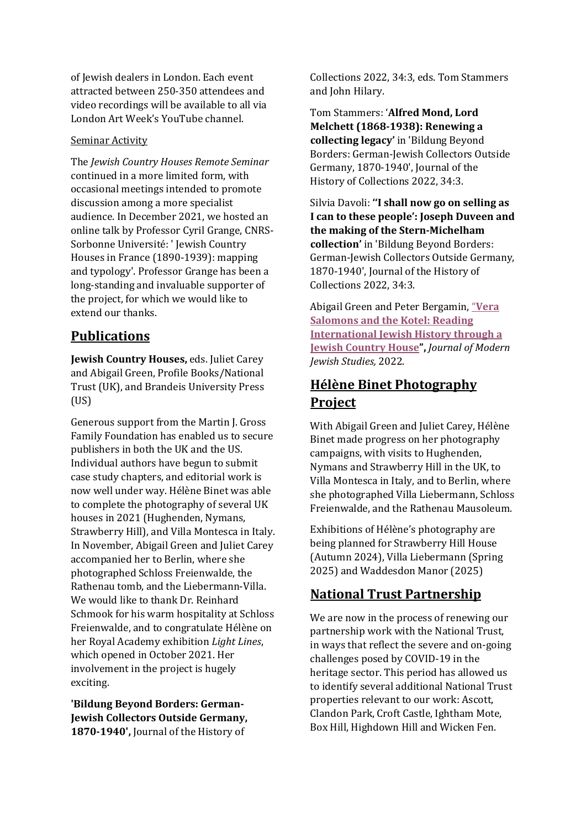of Jewish dealers in London. Each event attracted between 250-350 attendees and video recordings will be available to all via London Art Week's YouTube channel.

## Seminar Activity

The *Jewish Country Houses Remote Seminar*  continued in a more limited form, with occasional meetings intended to promote discussion among a more specialist audience. In December 2021, we hosted an online talk by Professor Cyril Grange, CNRS-Sorbonne Université: ' Jewish Country Houses in France (1890-1939): mapping and typology'. Professor Grange has been a long-standing and invaluable supporter of the project, for which we would like to extend our thanks.

## **Publications**

**Jewish Country Houses,** eds. Juliet Carey and Abigail Green, Profile Books/National Trust (UK), and Brandeis University Press (US)

Generous support from the Martin J. Gross Family Foundation has enabled us to secure publishers in both the UK and the US. Individual authors have begun to submit case study chapters, and editorial work is now well under way. Hélène Binet was able to complete the photography of several UK houses in 2021 (Hughenden, Nymans, Strawberry Hill), and Villa Montesca in Italy. In November, Abigail Green and Juliet Carey accompanied her to Berlin, where she photographed Schloss Freienwalde, the Rathenau tomb, and the Liebermann-Villa. We would like to thank Dr. Reinhard Schmook for his warm hospitality at Schloss Freienwalde, and to congratulate Hélène on her Royal Academy exhibition *Light Lines*, which opened in October 2021. Her involvement in the project is hugely exciting.

**'Bildung Beyond Borders: German-Jewish Collectors Outside Germany, 1870-1940',** Journal of the History of

Collections 2022, 34:3, eds. Tom Stammers and John Hilary.

Tom Stammers: '**Alfred Mond, Lord Melchett (1868-1938): Renewing a collecting legacy'** in 'Bildung Beyond Borders: German-Jewish Collectors Outside Germany, 1870-1940', Journal of the History of Collections 2022, 34:3.

Silvia Davoli: **''I shall now go on selling as I can to these people': Joseph Duveen and the making of the Stern-Michelham collection'** in 'Bildung Beyond Borders: German-Jewish Collectors Outside Germany, 1870-1940', Journal of the History of Collections 2022, 34:3.

Abigail Green and Peter Bergamin, "**[Vera](https://www.tandfonline.com/doi/full/10.1080/14725886.2021.2008795)  [Salomons and the Kotel: Reading](https://www.tandfonline.com/doi/full/10.1080/14725886.2021.2008795)  [International Jewish History through a](https://www.tandfonline.com/doi/full/10.1080/14725886.2021.2008795)  [Jewish Country House"](https://www.tandfonline.com/doi/full/10.1080/14725886.2021.2008795),** *Journal of Modern Jewish Studies,* 2022.

# **Hélène Binet Photography Project**

With Abigail Green and Juliet Carey, Hélène Binet made progress on her photography campaigns, with visits to Hughenden, Nymans and Strawberry Hill in the UK, to Villa Montesca in Italy, and to Berlin, where she photographed Villa Liebermann, Schloss Freienwalde, and the Rathenau Mausoleum.

Exhibitions of Hélène's photography are being planned for Strawberry Hill House (Autumn 2024), Villa Liebermann (Spring 2025) and Waddesdon Manor (2025)

# **National Trust Partnership**

We are now in the process of renewing our partnership work with the National Trust, in ways that reflect the severe and on-going challenges posed by COVID-19 in the heritage sector. This period has allowed us to identify several additional National Trust properties relevant to our work: Ascott, Clandon Park, Croft Castle, Ightham Mote, Box Hill, Highdown Hill and Wicken Fen.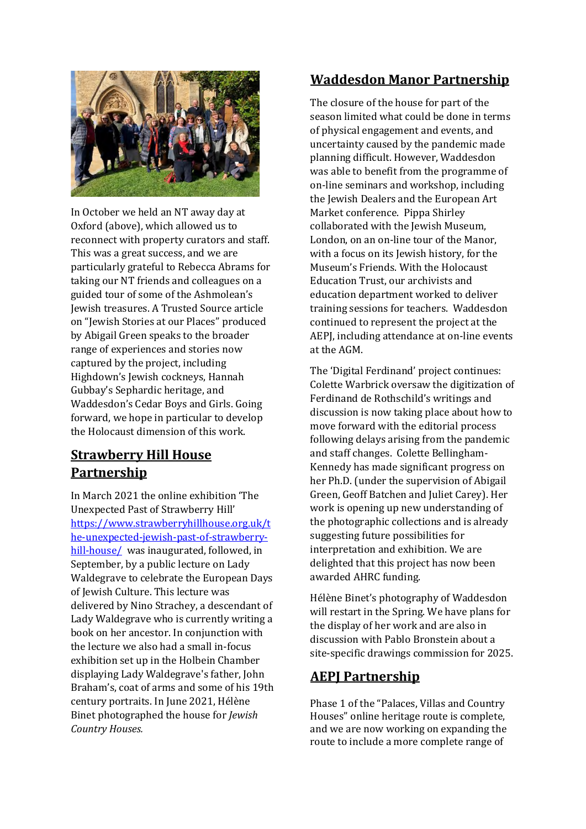

In October we held an NT away day at Oxford (above), which allowed us to reconnect with property curators and staff. This was a great success, and we are particularly grateful to Rebecca Abrams for taking our NT friends and colleagues on a guided tour of some of the Ashmolean's Jewish treasures. A Trusted Source article on "Jewish Stories at our Places" produced by Abigail Green speaks to the broader range of experiences and stories now captured by the project, including Highdown's Jewish cockneys, Hannah Gubbay's Sephardic heritage, and Waddesdon's Cedar Boys and Girls. Going forward, we hope in particular to develop the Holocaust dimension of this work.

## **Strawberry Hill House Partnership**

In March 2021 the online exhibition 'The Unexpected Past of Strawberry Hill' [https://www.strawberryhillhouse.org.uk/t](https://www.strawberryhillhouse.org.uk/the-unexpected-jewish-past-of-strawberry-hill-house/) [he-unexpected-jewish-past-of-strawberry](https://www.strawberryhillhouse.org.uk/the-unexpected-jewish-past-of-strawberry-hill-house/)[hill-house/](https://www.strawberryhillhouse.org.uk/the-unexpected-jewish-past-of-strawberry-hill-house/) was inaugurated, followed, in September, by a public lecture on Lady Waldegrave to celebrate the European Days of Jewish Culture. This lecture was delivered by Nino Strachey, a descendant of Lady Waldegrave who is currently writing a book on her ancestor. In conjunction with the lecture we also had a small in-focus exhibition set up in the Holbein Chamber displaying Lady Waldegrave's father, John Braham's, coat of arms and some of his 19th century portraits. In June 2021, Hélène Binet photographed the house for *Jewish Country Houses.*

## **Waddesdon Manor Partnership**

The closure of the house for part of the season limited what could be done in terms of physical engagement and events, and uncertainty caused by the pandemic made planning difficult. However, Waddesdon was able to benefit from the programme of on-line seminars and workshop, including the Jewish Dealers and the European Art Market conference. Pippa Shirley collaborated with the Jewish Museum, London, on an on-line tour of the Manor, with a focus on its Jewish history, for the Museum's Friends. With the Holocaust Education Trust, our archivists and education department worked to deliver training sessions for teachers. Waddesdon continued to represent the project at the AEPJ, including attendance at on-line events at the AGM.

The 'Digital Ferdinand' project continues: Colette Warbrick oversaw the digitization of Ferdinand de Rothschild's writings and discussion is now taking place about how to move forward with the editorial process following delays arising from the pandemic and staff changes. Colette Bellingham-Kennedy has made significant progress on her Ph.D. (under the supervision of Abigail Green, Geoff Batchen and Juliet Carey). Her work is opening up new understanding of the photographic collections and is already suggesting future possibilities for interpretation and exhibition. We are delighted that this project has now been awarded AHRC funding.

Hélène Binet's photography of Waddesdon will restart in the Spring. We have plans for the display of her work and are also in discussion with Pablo Bronstein about a site-specific drawings commission for 2025.

## **AEPJ Partnership**

Phase 1 of the "Palaces, Villas and Country Houses" online heritage route is complete, and we are now working on expanding the route to include a more complete range of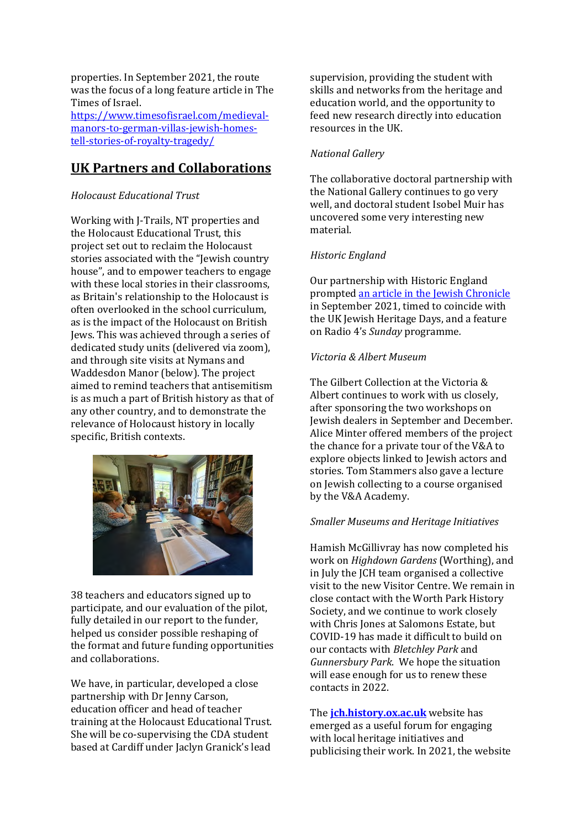properties. In September 2021, the route was the focus of a long feature article in The Times of Israel. [https://www.timesofisrael.com/medieval-](https://www.timesofisrael.com/medieval-manors-to-german-villas-jewish-homes-tell-stories-of-royalty-tragedy/)

[manors-to-german-villas-jewish-homes](https://www.timesofisrael.com/medieval-manors-to-german-villas-jewish-homes-tell-stories-of-royalty-tragedy/)[tell-stories-of-royalty-tragedy/](https://www.timesofisrael.com/medieval-manors-to-german-villas-jewish-homes-tell-stories-of-royalty-tragedy/) 

## **UK Partners and Collaborations**

## *Holocaust Educational Trust*

Working with J-Trails, NT properties and the Holocaust Educational Trust, this project set out to reclaim the Holocaust stories associated with the "Jewish country house", and to empower teachers to engage with these local stories in their classrooms, as Britain's relationship to the Holocaust is often overlooked in the school curriculum, as is the impact of the Holocaust on British Jews. This was achieved through a series of dedicated study units (delivered via zoom), and through site visits at Nymans and Waddesdon Manor (below). The project aimed to remind teachers that antisemitism is as much a part of British history as that of any other country, and to demonstrate the relevance of Holocaust history in locally specific, British contexts.



38 teachers and educators signed up to participate, and our evaluation of the pilot, fully detailed in our report to the funder, helped us consider possible reshaping of the format and future funding opportunities and collaborations.

We have, in particular, developed a close partnership with Dr Jenny Carson, education officer and head of teacher training at the Holocaust Educational Trust. She will be co-supervising the CDA student based at Cardiff under Jaclyn Granick's lead

supervision, providing the student with skills and networks from the heritage and education world, and the opportunity to feed new research directly into education resources in the UK.

## *National Gallery*

The collaborative doctoral partnership with the National Gallery continues to go very well, and doctoral student Isobel Muir has uncovered some very interesting new material.

## *Historic England*

Our partnership with Historic England prompte[d an article in the Jewish Chronicle](https://www.thejc.com/comment/opinion/you-have-a-key-role-in-preserving-our-heritage-1.520202) in September 2021, timed to coincide with the UK Jewish Heritage Days, and a feature on Radio 4's *Sunday* programme*.*

### *Victoria & Albert Museum*

The Gilbert Collection at the Victoria & Albert continues to work with us closely, after sponsoring the two workshops on Jewish dealers in September and December. Alice Minter offered members of the project the chance for a private tour of the V&A to explore objects linked to Jewish actors and stories. Tom Stammers also gave a lecture on Jewish collecting to a course organised by the V&A Academy.

### *Smaller Museums and Heritage Initiatives*

Hamish McGillivray has now completed his work on *Highdown Gardens* (Worthing), and in July the JCH team organised a collective visit to the new Visitor Centre. We remain in close contact with the Worth Park History Society, and we continue to work closely with Chris Jones at Salomons Estate, but COVID-19 has made it difficult to build on our contacts with *Bletchley Park* and *Gunnersbury Park*. We hope the situation will ease enough for us to renew these contacts in 2022.

The **[jch.history.ox.ac.uk](https://jch.history.ox.ac.uk/home)** website has emerged as a useful forum for engaging with local heritage initiatives and publicising their work. In 2021, the website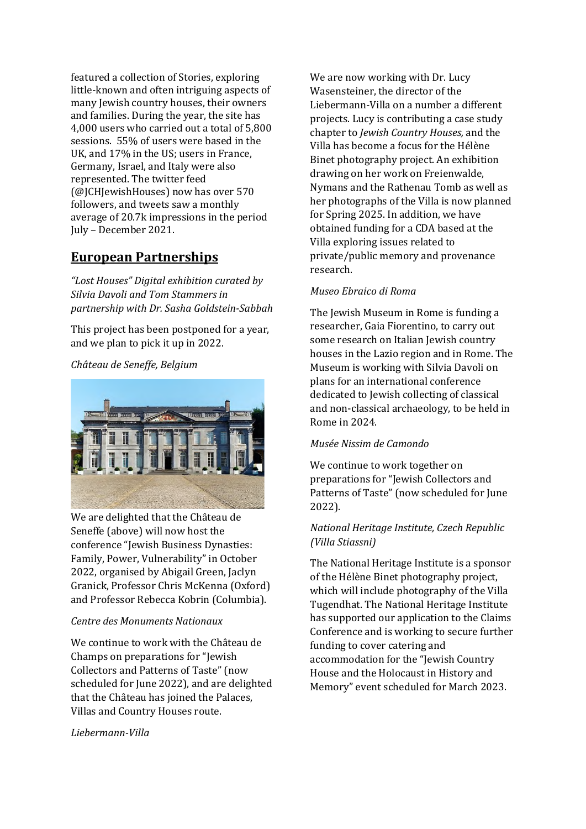featured a collection of Stories, exploring little-known and often intriguing aspects of many Jewish country houses, their owners and families. During the year, the site has 4,000 users who carried out a total of 5,800 sessions. 55% of users were based in the UK, and 17% in the US; users in France, Germany, Israel, and Italy were also represented. The twitter feed (@JCHJewishHouses) now has over 570 followers, and tweets saw a monthly average of 20.7k impressions in the period July – December 2021.

## **European Partnerships**

*"Lost Houses" Digital exhibition curated by Silvia Davoli and Tom Stammers in partnership with Dr. Sasha Goldstein-Sabbah* 

This project has been postponed for a year, and we plan to pick it up in 2022.

### *Château de Seneffe, Belgium*



We are delighted that the Château de Seneffe (above) will now host the conference "Jewish Business Dynasties: Family, Power, Vulnerability" in October 2022, organised by Abigail Green, Jaclyn Granick, Professor Chris McKenna (Oxford) and Professor Rebecca Kobrin (Columbia).

### *Centre des Monuments Nationaux*

We continue to work with the Château de Champs on preparations for "Jewish Collectors and Patterns of Taste" (now scheduled for June 2022), and are delighted that the Château has joined the Palaces, Villas and Country Houses route.

*Liebermann-Villa* 

We are now working with Dr. Lucy Wasensteiner, the director of the Liebermann-Villa on a number a different projects. Lucy is contributing a case study chapter to *Jewish Country Houses,* and the Villa has become a focus for the Hélène Binet photography project. An exhibition drawing on her work on Freienwalde, Nymans and the Rathenau Tomb as well as her photographs of the Villa is now planned for Spring 2025. In addition, we have obtained funding for a CDA based at the Villa exploring issues related to private/public memory and provenance research.

### *Museo Ebraico di Roma*

The Jewish Museum in Rome is funding a researcher, Gaia Fiorentino, to carry out some research on Italian Jewish country houses in the Lazio region and in Rome. The Museum is working with Silvia Davoli on plans for an international conference dedicated to Jewish collecting of classical and non-classical archaeology, to be held in Rome in 2024.

### *Musée Nissim de Camondo*

We continue to work together on preparations for "Jewish Collectors and Patterns of Taste" (now scheduled for June 2022).

## *National Heritage Institute, Czech Republic (Villa Stiassni)*

The National Heritage Institute is a sponsor of the Hélène Binet photography project, which will include photography of the Villa Tugendhat. The National Heritage Institute has supported our application to the Claims Conference and is working to secure further funding to cover catering and accommodation for the "Jewish Country House and the Holocaust in History and Memory" event scheduled for March 2023.